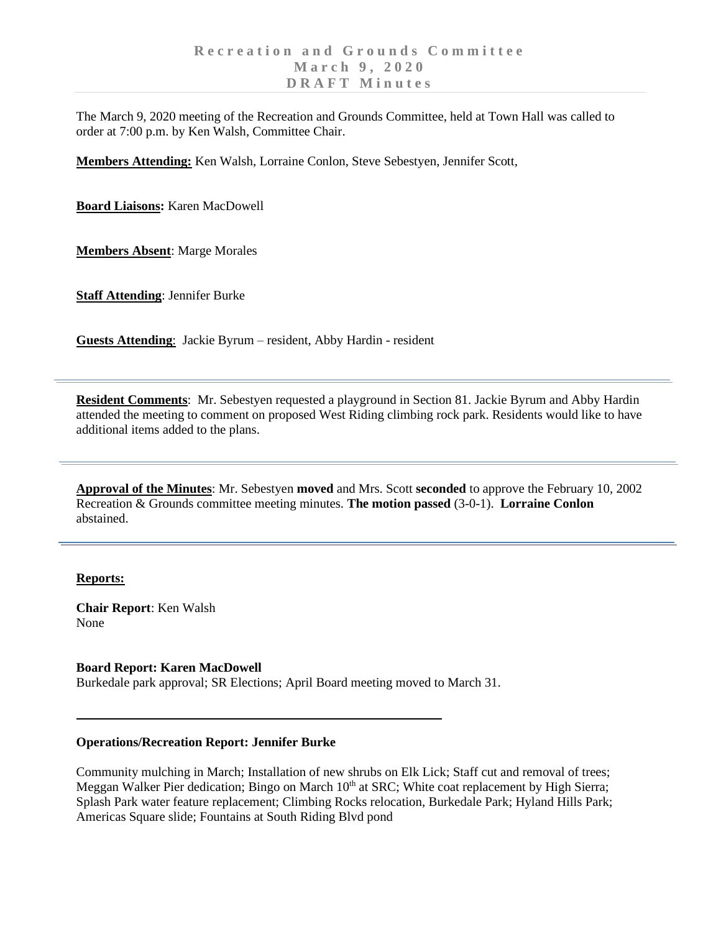The March 9, 2020 meeting of the Recreation and Grounds Committee, held at Town Hall was called to order at 7:00 p.m. by Ken Walsh, Committee Chair.

**Members Attending:** Ken Walsh, Lorraine Conlon, Steve Sebestyen, Jennifer Scott,

**Board Liaisons:** Karen MacDowell

**Members Absent**: Marge Morales

**Staff Attending**: Jennifer Burke

**Guests Attending**: Jackie Byrum – resident, Abby Hardin - resident

**Resident Comments**: Mr. Sebestyen requested a playground in Section 81. Jackie Byrum and Abby Hardin attended the meeting to comment on proposed West Riding climbing rock park. Residents would like to have additional items added to the plans.

**Approval of the Minutes**: Mr. Sebestyen **moved** and Mrs. Scott **seconded** to approve the February 10, 2002 Recreation & Grounds committee meeting minutes. **The motion passed** (3-0-1). **Lorraine Conlon** abstained.

## **Reports:**

**Chair Report**: Ken Walsh None

**Board Report: Karen MacDowell**

Burkedale park approval; SR Elections; April Board meeting moved to March 31.

## **Operations/Recreation Report: Jennifer Burke**

Community mulching in March; Installation of new shrubs on Elk Lick; Staff cut and removal of trees; Meggan Walker Pier dedication; Bingo on March 10<sup>th</sup> at SRC; White coat replacement by High Sierra; Splash Park water feature replacement; Climbing Rocks relocation, Burkedale Park; Hyland Hills Park; Americas Square slide; Fountains at South Riding Blvd pond